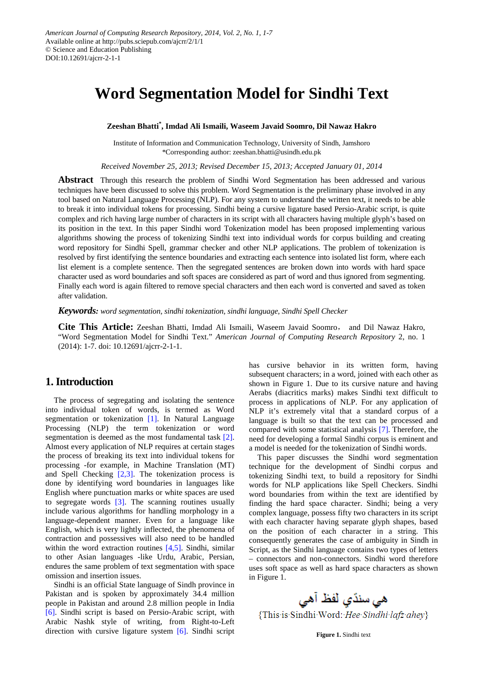# **Word Segmentation Model for Sindhi Text**

**Zeeshan Bhatti\* , Imdad Ali Ismaili, Waseem Javaid Soomro, Dil Nawaz Hakro**

Institute of Information and Communication Technology, University of Sindh, Jamshoro \*Corresponding author: zeeshan.bhatti@usindh.edu.pk

*Received November 25, 2013; Revised December 15, 2013; Accepted January 01, 2014*

**Abstract** Through this research the problem of Sindhi Word Segmentation has been addressed and various techniques have been discussed to solve this problem. Word Segmentation is the preliminary phase involved in any tool based on Natural Language Processing (NLP). For any system to understand the written text, it needs to be able to break it into individual tokens for processing. Sindhi being a cursive ligature based Persio-Arabic script, is quite complex and rich having large number of characters in its script with all characters having multiple glyph's based on its position in the text. In this paper Sindhi word Tokenization model has been proposed implementing various algorithms showing the process of tokenizing Sindhi text into individual words for corpus building and creating word repository for Sindhi Spell, grammar checker and other NLP applications. The problem of tokenization is resolved by first identifying the sentence boundaries and extracting each sentence into isolated list form, where each list element is a complete sentence. Then the segregated sentences are broken down into words with hard space character used as word boundaries and soft spaces are considered as part of word and thus ignored from segmenting. Finally each word is again filtered to remove special characters and then each word is converted and saved as token after validation.

*Keywords: word segmentation, sindhi tokenization, sindhi language, Sindhi Spell Checker*

**Cite This Article:** Zeeshan Bhatti, Imdad Ali Ismaili, Waseem Javaid Soomro, and Dil Nawaz Hakro, "Word Segmentation Model for Sindhi Text." *American Journal of Computing Research Repository* 2, no. 1 (2014): 1-7. doi: 10.12691/ajcrr-2-1-1.

## **1. Introduction**

The process of segregating and isolating the sentence into individual token of words, is termed as Word segmentation or tokenization [\[1\].](#page-5-0) In Natural Language Processing (NLP) the term tokenization or word segmentation is deemed as the most fundamental task [\[2\].](#page-5-1) Almost every application of NLP requires at certain stages the process of breaking its text into individual tokens for processing -for example, in Machine Translation (MT) and Spell Checking [\[2,3\].](#page-5-1) The tokenization process is done by identifying word boundaries in languages like English where punctuation marks or white spaces are used to segregate words  $[3]$ . The scanning routines usually include various algorithms for handling morphology in a language-dependent manner. Even for a language like English, which is very lightly inflected, the phenomena of contraction and possessives will also need to be handled within the word extraction routines [\[4,5\].](#page-5-3) Sindhi, similar to other Asian languages -like Urdu, Arabic, Persian, endures the same problem of text segmentation with space omission and insertion issues.

Sindhi is an official State language of Sindh province in Pakistan and is spoken by approximately 34.4 million people in Pakistan and around 2.8 million people in India [\[6\].](#page-5-4) Sindhi script is based on Persio-Arabic script, with Arabic Nashk style of writing, from Right-to-Left direction with cursive ligature system [\[6\].](#page-5-4) Sindhi script has cursive behavior in its written form, having subsequent characters; in a word, joined with each other as shown in Figure 1. Due to its cursive nature and having Aerabs (diacritics marks) makes Sindhi text difficult to process in applications of NLP. For any application of NLP it's extremely vital that a standard corpus of a language is built so that the text can be processed and compared with some statistical analysis [\[7\].](#page-5-5) Therefore, the need for developing a formal Sindhi corpus is eminent and a model is needed for the tokenization of Sindhi words.

This paper discusses the Sindhi word segmentation technique for the development of Sindhi corpus and tokenizing Sindhi text, to build a repository for Sindhi words for NLP applications like Spell Checkers. Sindhi word boundaries from within the text are identified by finding the hard space character. Sindhi; being a very complex language, possess fifty two characters in its script with each character having separate glyph shapes, based on the position of each character in a string. This consequently generates the case of ambiguity in Sindh in Script, as the Sindhi language contains two types of letters – connectors and non-connectors. Sindhi word therefore uses soft space as well as hard space characters as shown in Figure 1.

هی سنڌي لفظ آهي

{This is Sindhi Word: Hee Sindhi lafz ahey}

**Figure 1.** Sindhi text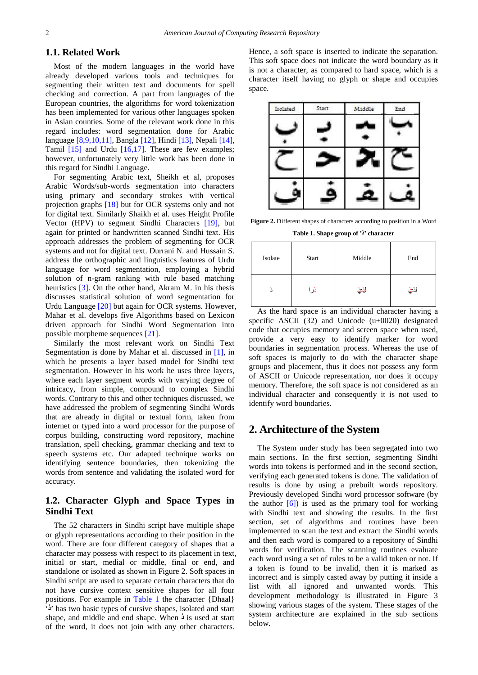### **1.1. Related Work**

Most of the modern languages in the world have already developed various tools and techniques for segmenting their written text and documents for spell checking and correction. A part from languages of the European countries, the algorithms for word tokenization has been implemented for various other languages spoken in Asian counties. Some of the relevant work done in this regard includes: word segmentation done for Arabic language [\[8,9,10,11\],](#page-5-6) Bangla [\[12\],](#page-5-7) Hindi [\[13\],](#page-5-8) Nepali [\[14\],](#page-5-9) Tamil [\[15\]](#page-5-10) and Urdu [\[16,17\].](#page-5-11) These are few examples; however, unfortunately very little work has been done in this regard for Sindhi Language.

For segmenting Arabic text, Sheikh et al, proposes Arabic Words/sub-words segmentation into characters using primary and secondary strokes with vertical projection graphs [\[18\]](#page-6-0) but for OCR systems only and not for digital text. Similarly Shaikh et al. uses Height Profile Vector (HPV) to segment Sindhi Characters [\[19\],](#page-6-1) but again for printed or handwritten scanned Sindhi text. His approach addresses the problem of segmenting for OCR systems and not for digital text. Durrani N. and Hussain S. address the orthographic and linguistics features of Urdu language for word segmentation, employing a hybrid solution of n-gram ranking with rule based matching heuristics [\[3\].](#page-5-2) On the other hand, Akram M. in his thesis discusses statistical solution of word segmentation for Urdu Language [\[20\]](#page-6-2) but again for OCR systems. However, Mahar et al. develops five Algorithms based on Lexicon driven approach for Sindhi Word Segmentation into possible morpheme sequences [\[21\].](#page-6-3)

Similarly the most relevant work on Sindhi Text Segmentation is done by Mahar et al. discussed in [\[1\],](#page-5-0) in which he presents a layer based model for Sindhi text segmentation. However in his work he uses three layers, where each layer segment words with varying degree of intricacy, from simple, compound to complex Sindhi words. Contrary to this and other techniques discussed, we have addressed the problem of segmenting Sindhi Words that are already in digital or textual form, taken from internet or typed into a word processor for the purpose of corpus building, constructing word repository, machine translation, spell checking, grammar checking and text to speech systems etc. Our adapted technique works on identifying sentence boundaries, then tokenizing the words from sentence and validating the isolated word for accuracy.

## **1.2. Character Glyph and Space Types in Sindhi Text**

The 52 characters in Sindhi script have multiple shape or glyph representations according to their position in the word. There are four different category of shapes that a character may possess with respect to its placement in text, initial or start, medial or middle, final or end, and standalone or isolated as shown in Figure 2. Soft spaces in Sindhi script are used to separate certain characters that do not have cursive context sensitive shapes for all four positions. For example in [Table 1](#page-1-0) the character {Dhaal} '**ذ** 'has two basic types of cursive shapes, isolated and start shape, and middle and end shape. When **ذ** is used at start of the word, it does not join with any other characters.

Hence, a soft space is inserted to indicate the separation. This soft space does not indicate the word boundary as it is not a character, as compared to hard space, which is a character itself having no glyph or shape and occupies space.



**Figure 2.** Different shapes of characters according to position in a Word

**Table 1. Shape group of 'ذ 'character**

<span id="page-1-0"></span>

| Isolate | Start | Middle | End   |  |
|---------|-------|--------|-------|--|
|         | در ۱  | لفني   | لذيني |  |

As the hard space is an individual character having a specific ASCII (32) and Unicode (u+0020) designated code that occupies memory and screen space when used, provide a very easy to identify marker for word boundaries in segmentation process. Whereas the use of soft spaces is majorly to do with the character shape groups and placement, thus it does not possess any form of ASCII or Unicode representation, nor does it occupy memory. Therefore, the soft space is not considered as an individual character and consequently it is not used to identify word boundaries.

## **2. Architecture of the System**

The System under study has been segregated into two main sections. In the first section, segmenting Sindhi words into tokens is performed and in the second section, verifying each generated tokens is done. The validation of results is done by using a prebuilt words repository. Previously developed Sindhi word processor software (by the author  $\lceil 6 \rceil$  is used as the primary tool for working with Sindhi text and showing the results. In the first section, set of algorithms and routines have been implemented to scan the text and extract the Sindhi words and then each word is compared to a repository of Sindhi words for verification. The scanning routines evaluate each word using a set of rules to be a valid token or not. If a token is found to be invalid, then it is marked as incorrect and is simply casted away by putting it inside a list with all ignored and unwanted words. This development methodology is illustrated in Figure 3 showing various stages of the system. These stages of the system architecture are explained in the sub sections below.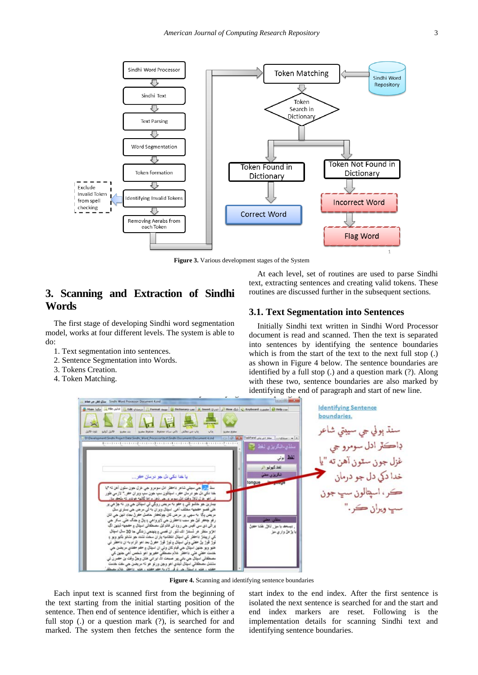

**Figure 3.** Various development stages of the System

## **3. Scanning and Extraction of Sindhi Words**

The first stage of developing Sindhi word segmentation model, works at four different levels. The system is able to do:

- 1. Text segmentation into sentences.
- 2. Sentence Segmentation into Words.
- 3. Tokens Creation.
- 4. Token Matching.

At each level, set of routines are used to parse Sindhi text, extracting sentences and creating valid tokens. These routines are discussed further in the subsequent sections.

### **3.1. Text Segmentation into Sentences**

Initially Sindhi text written in Sindhi Word Processor document is read and scanned. Then the text is separated into sentences by identifying the sentence boundaries which is from the start of the text to the next full stop (.) as shown in Figure 4 below. The sentence boundaries are identified by a full stop (.) and a question mark (?). Along with these two, sentence boundaries are also marked by identifying the end of paragraph and start of new line.



**Figure 4.** Scanning and identifying sentence boundaries

Each input text is scanned first from the beginning of the text starting from the initial starting position of the sentence. Then end of sentence identifier, which is either a full stop (.) or a question mark (?), is searched for and marked. The system then fetches the sentence form the

start index to the end index. After the first sentence is isolated the next sentence is searched for and the start and end index markers are reset. Following is the implementation details for scanning Sindhi text and identifying sentence boundaries.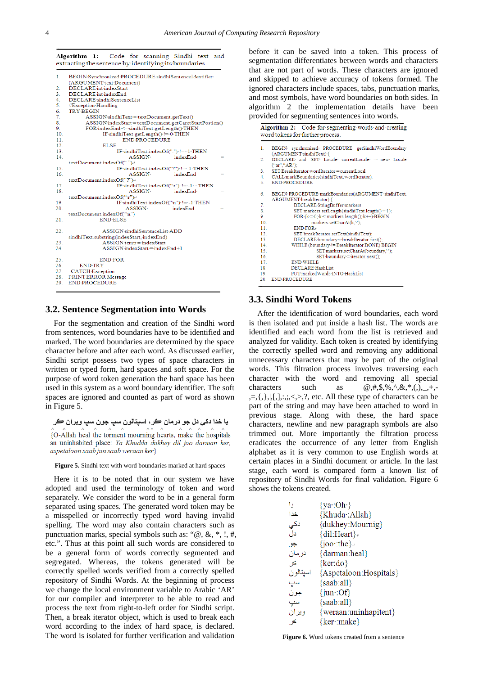|            | Algorithm 1: Code for scanning Sindhi text<br>extracting the sentence by identifying its boundaries | and |  |  |  |  |
|------------|-----------------------------------------------------------------------------------------------------|-----|--|--|--|--|
| 1.         | BEGIN Synchronized PROCEDURE sindhiSentenceIdentifier                                               |     |  |  |  |  |
|            | (ARGUMENT text Document)                                                                            |     |  |  |  |  |
| 2.         | DECLARE intindexStart                                                                               |     |  |  |  |  |
| 3.         | DECLARE intindexEnd                                                                                 |     |  |  |  |  |
| 4.         | DECLARE-sindhiSentenceList                                                                          |     |  |  |  |  |
| 5.         | //Exception·Handling                                                                                |     |  |  |  |  |
| 6.         | <b>TRY-BEGIN</b>                                                                                    |     |  |  |  |  |
| 7.         | ASSIGN sindhiText = textDocument.getText()                                                          |     |  |  |  |  |
| 8.         | ASSIGN index Start=textDocument.getCaretStartPostion()                                              |     |  |  |  |  |
| 9.         | FOR indexEnd<= sindhiText.getLength() THEN                                                          |     |  |  |  |  |
| 10.<br>11. | $IF\cdot \sin \frac{d}{dx}$ rest.getLength() $\cdot$ != 0 THEN<br><b>END-PROCEDURE</b>              |     |  |  |  |  |
| 12.        | <b>ELSE</b>                                                                                         |     |  |  |  |  |
| 13.        | IF sindhiText.indexOf(".") · != -1 · THEN                                                           |     |  |  |  |  |
| 14         | indexEnd-<br><b>ASSIGN-</b>                                                                         | =   |  |  |  |  |
|            | textDocument.indexOf(".")e                                                                          |     |  |  |  |  |
| 15.        | IF sindhiText.indexOf("?") '!= -1 THEN                                                              |     |  |  |  |  |
| 16         | indexEnd<br>ASSIGN-                                                                                 | =   |  |  |  |  |
|            | textDocument.indexOf("?")e                                                                          |     |  |  |  |  |
| 17.        | IF sindhiText.indexOf("\r") · != -1 · · THEN                                                        |     |  |  |  |  |
| 18         | indexEnd-<br>ASSIGN-                                                                                | =   |  |  |  |  |
|            | textDocument.indexOf("'r")e                                                                         |     |  |  |  |  |
| 19.        | IF-sindhiText.indexOf("\n"). != -1.THEN                                                             |     |  |  |  |  |
| 20.        | ASSIGN-<br>indexEnd                                                                                 | =   |  |  |  |  |
|            | textDocument.indexOf("'n")                                                                          |     |  |  |  |  |
| 21.        | <b>END-ELSE</b>                                                                                     |     |  |  |  |  |
| 22.        | ASSIGN sindhiSentenceList ADD                                                                       |     |  |  |  |  |
|            | sindhiText.substring(indexStart, indexEnd)                                                          |     |  |  |  |  |
| 23.        | ASSIGN temp = indexStart                                                                            |     |  |  |  |  |
| 24.        | $ASSIGN\text{-}\mathrm{indexStart}\text{=}indexEnd+1$                                               |     |  |  |  |  |
| 25.        | <b>END FOR</b>                                                                                      |     |  |  |  |  |
| 26.        | <b>END TRY</b>                                                                                      |     |  |  |  |  |
| 27.        | <b>CATCH</b> Exception                                                                              |     |  |  |  |  |
| 28.        | PRINT-ERROR-Message                                                                                 |     |  |  |  |  |
| 29.        | <b>END-PROCEDURE</b>                                                                                |     |  |  |  |  |
|            |                                                                                                     |     |  |  |  |  |

#### **3.2. Sentence Segmentation into Words**

For the segmentation and creation of the Sindhi word from sentences, word boundaries have to be identified and marked. The word boundaries are determined by the space character before and after each word. As discussed earlier, Sindhi script possess two types of space characters in written or typed form, hard spaces and soft space. For the purpose of word token generation the hard space has been used in this system as a word boundary identifier. The soft spaces are ignored and counted as part of word as shown in Figure 5.

```
يا خدا دکي دل جو درمان ڪر، اسپتالون سڀ جون سڀ ويران ڪر
```
{O-Allah heal the torment mourning hearts, make the hospitals an uninhabited place: Ya Khudda dukhey dil joo darman ker, aspetaloon saab jun saab weraan ker}

**Figure 5.** Sindhi text with word boundaries marked at hard spaces

Here it is to be noted that in our system we have adopted and used the terminology of token and word separately. We consider the word to be in a general form separated using spaces. The generated word token may be a misspelled or incorrectly typed word having invalid spelling. The word may also contain characters such as punctuation marks, special symbols such as: "@, &, \*, !, #, etc.". Thus at this point all such words are considered to be a general form of words correctly segmented and segregated. Whereas, the tokens generated will be correctly spelled words verified from a correctly spelled repository of Sindhi Words. At the beginning of process we change the local environment variable to Arabic 'AR' for our compiler and interpreter to be able to read and process the text from right-to-left order for Sindhi script. Then, a break iterator object, which is used to break each word according to the index of hard space, is declared. The word is isolated for further verification and validation

before it can be saved into a token. This process of segmentation differentiates between words and characters that are not part of words. These characters are ignored and skipped to achieve accuracy of tokens formed. The ignored characters include spaces, tabs, punctuation marks, and most symbols, have word boundaries on both sides. In algorithm 2 the implementation details have been provided for segmenting sentences into words.

|                  | Algorithm 2: Code for segmenting words and creating<br>word tokens for further process. |  |  |  |  |
|------------------|-----------------------------------------------------------------------------------------|--|--|--|--|
| 1.               | BEGIN synchronized PROCEDURE getSindhiWordBoundary<br>(ARGUMENT-sindhiText)-{           |  |  |  |  |
| 2.               | DECLARE and SET Locale currentLocale = new Locale<br>("ar". "AR".                       |  |  |  |  |
| 3.               | SET BreakIterator wordIterator=currentLocal                                             |  |  |  |  |
| 4.               | CALL markBoundaries(sindhiText, wordIterator);                                          |  |  |  |  |
| 5.               | <b>END-PROCEDURE</b>                                                                    |  |  |  |  |
| 6                | BEGIN-PROCEDURE-markBoundaries(ARGUMENT-sindhiText,<br>ARGUMENT-breakIterator)-{        |  |  |  |  |
| 7.               | DECLARE-StringBuffer markers                                                            |  |  |  |  |
| 8.               | SET markers.setLength(sindhiText.length()+1);                                           |  |  |  |  |
| 9.               | $FOR(k=0; k \leq marks: length(); k++)$ BEGIN                                           |  |  |  |  |
| 10.              | markers.setCharAt(k,'');                                                                |  |  |  |  |
| 11               | $END$ FOR $\rightarrow$                                                                 |  |  |  |  |
| 12 <sub>12</sub> | SET breakIterator.setText(sindhiText);                                                  |  |  |  |  |
| 13.              | DECLARE boundary = breakIterator.first();                                               |  |  |  |  |
| 14               | WHILE (boundary != BreakIterator.DONE) BEGIN                                            |  |  |  |  |
| 15.              | SET markers.setCharAt(boundary,");                                                      |  |  |  |  |
| 16               | SET-boundary=iterator.next();                                                           |  |  |  |  |
| 17               | <b>END-WHILE</b>                                                                        |  |  |  |  |
| 18               | DECLARE-HashList                                                                        |  |  |  |  |
| 19.              | PUT marked Words INTO HashList                                                          |  |  |  |  |
| 20.              | <b>END-PROCEDURE</b>                                                                    |  |  |  |  |

## **3.3. Sindhi Word Tokens**

After the identification of word boundaries, each word is then isolated and put inside a hash list. The words are identified and each word from the list is retrieved and analyzed for validity. Each token is created by identifying the correctly spelled word and removing any additional unnecessary characters that may be part of the original words. This filtration process involves traversing each character with the word and removing all special characters such as  $\omega, \#, \$, \%$ ,  $\alpha, \mathcal{R}, *,(0), _{-}, +, =$ , $=$ , $\{$ , $\}$ , $|$ , $[$ , $]$ ,:,;, $\le$ , $>$ ,?, etc. All these type of characters can be part of the string and may have been attached to word in previous stage. Along with these, the hard space characters, newline and new paragraph symbols are also trimmed out. More importantly the filtration process eradicates the occurrence of any letter from English alphabet as it is very common to use English words at certain places in a Sindhi document or article. In the last stage, each word is compared form a known list of repository of Sindhi Words for final validation. Figure 6 shows the tokens created.

| u        | $\{ya:Oh\}$             |
|----------|-------------------------|
|          |                         |
| خدا      | {Khuda: Allah}          |
| دکی      | {dukhey: Mournig}       |
| دل       | ${diff:Heart}$          |
| جو       | $\{ioo$ : the $\}$      |
| در مان   | {darman:heal}           |
| ڪِر      | {ker:do}                |
| اسيتالون | {Aspetaloon: Hospitals} |
| سپ       | ${saab:all}$            |
| جون      | $\{jun:Of\}$            |
| سپ       | ${saab:all}$            |
| ويران    | {weraan:uninhapitent}   |
| ڪر       | {ker∵make}              |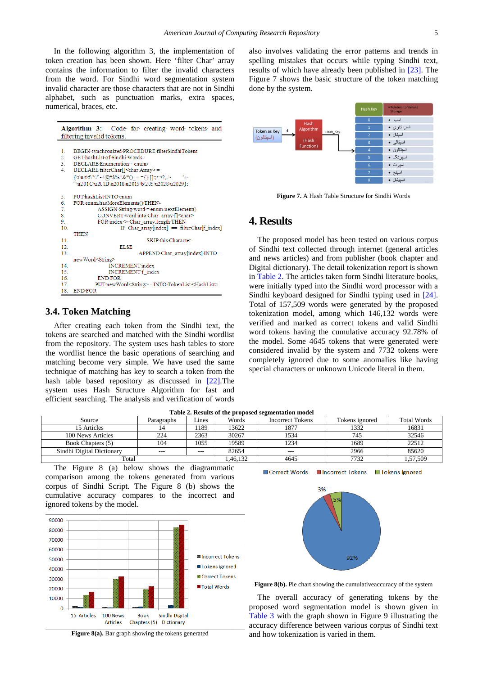In the following algorithm 3, the implementation of token creation has been shown. Here 'filter Char' array contains the information to filter the invalid characters from the word. For Sindhi word segmentation system invalid character are those characters that are not in Sindhi alphabet, such as punctuation marks, extra spaces, numerical, braces, etc.

|                                   | <b>Algorithm 3:</b> Code for creating word tokens and                                                                                                                                                                                                                                                                                      |  |  |  |  |
|-----------------------------------|--------------------------------------------------------------------------------------------------------------------------------------------------------------------------------------------------------------------------------------------------------------------------------------------------------------------------------------------|--|--|--|--|
|                                   | filtering invalid tokens.                                                                                                                                                                                                                                                                                                                  |  |  |  |  |
| 1.<br>2.<br>3.1<br>4 <sub>1</sub> | BEGIN synchronized PROCEDURE filterSindhiTokens<br>GET hashList of Sindhi Wordse<br>DECLARE Enumeration · · enume<br>DECLARE filterChar[] <char array="">=<br/><math>\{\r\nu_1(t)f'''''' - (\omega_{\omega}^2) - \omega^*(0) + \frac{1}{2}\right]_{\omega}^{\omega} \sim ?</math><br/>"\u201C\u201D\u2018\u2019\b\205\u2028\u2029};</char> |  |  |  |  |
| 5.<br>6.<br>7.<br>8.<br>9.<br>10. | PUT hashList INTO enum<br>FOR enum has MoreElements() THENe<br>ASSIGN String word = enum.nextElement()<br>CONVERT word into Char array [] <char><br/>FOR index &lt;= Char array.length THEN<br/>IF Char array[index] == filterChar[f index]<br/><b>THEN</b></char>                                                                         |  |  |  |  |
| 11 <sub>1</sub>                   | SKIP-this-Character-                                                                                                                                                                                                                                                                                                                       |  |  |  |  |
| 12 <sub>1</sub>                   | <b>ELSE</b>                                                                                                                                                                                                                                                                                                                                |  |  |  |  |
| 13.                               | APPEND Char array[index] INTO                                                                                                                                                                                                                                                                                                              |  |  |  |  |
|                                   | newWord <string></string>                                                                                                                                                                                                                                                                                                                  |  |  |  |  |
| 14 <sub>1</sub>                   | <b>INCREMENT</b> index                                                                                                                                                                                                                                                                                                                     |  |  |  |  |
| 15.                               | <b>INCREMENT</b> f index                                                                                                                                                                                                                                                                                                                   |  |  |  |  |
| 16.                               | <b>END-FOR</b>                                                                                                                                                                                                                                                                                                                             |  |  |  |  |
| 17.                               | PUT new Word <string> · INTO TokenList<hashlist></hashlist></string>                                                                                                                                                                                                                                                                       |  |  |  |  |
| 18.                               | <b>END-FOR</b>                                                                                                                                                                                                                                                                                                                             |  |  |  |  |

## **3.4. Token Matching**

After creating each token from the Sindhi text, the tokens are searched and matched with the Sindhi wordlist from the repository. The system uses hash tables to store the wordlist hence the basic operations of searching and matching become very simple. We have used the same technique of matching has key to search a token from the hash table based repository as discussed in [\[22\].](#page-6-4)The system uses Hash Structure Algorithm for fast and efficient searching. The analysis and verification of words also involves validating the error patterns and trends in spelling mistakes that occurs while typing Sindhi text, results of which have already been published in [\[23\].](#page-6-5) The Figure 7 shows the basic structure of the token matching done by the system.



**Figure 7.** A Hash Table Structure for Sindhi Words

## **4. Results**

The proposed model has been tested on various corpus of Sindhi text collected through internet (general articles and news articles) and from publisher (book chapter and Digital dictionary). The detail tokenization report is shown in [Table 2.](#page-4-0) The articles taken form Sindhi literature books, were initially typed into the Sindhi word processor with a Sindhi keyboard designed for Sindhi typing used in [\[24\].](#page-6-6) Total of 157,509 words were generated by the proposed tokenization model, among which 146,132 words were verified and marked as correct tokens and valid Sindhi word tokens having the cumulative accuracy 92.78% of the model. Some 4645 tokens that were generated were considered invalid by the system and 7732 tokens were completely ignored due to some anomalies like having special characters or unknown Unicode literal in them.

<span id="page-4-0"></span>

| Table 2. Results of the proposed scanditum model |            |         |         |                         |                |                    |
|--------------------------------------------------|------------|---------|---------|-------------------------|----------------|--------------------|
| Source                                           | Paragraphs | Lines   | Words   | <b>Incorrect Tokens</b> | Tokens ignored | <b>Total Words</b> |
| 15 Articles                                      |            | 189     | 13622   | 1877                    | 1332           | 16831              |
| 100 News Articles                                | 224        | 2363    | 30267   | 1534                    | 745            | 32546              |
| Book Chapters (5)                                | 104        | 1055    | 19589   | 1234                    | 1689           | 22512              |
| Sindhi Digital Dictionary                        | $---$      | $- - -$ | 82654   | $---$                   | 2966           | 85620              |
| Total                                            |            |         | ,46,132 | 4645                    | 7732           | 1,57,509           |

Correct Words

**Table 2. Results of the proposed segmentation model**

The Figure 8 (a) below shows the diagrammatic comparison among the tokens generated from various corpus of Sindhi Script. The Figure 8 (b) shows the cumulative accuracy compares to the incorrect and ignored tokens by the model.



**Figure 8(a).** Bar graph showing the tokens generated



Incorrect Tokens

□ Tokens lgnored

**Figure 8(b).** Pie chart showing the cumulative accuracy of the system

The overall accuracy of generating tokens by the proposed word segmentation model is shown given in [Table 3](#page-5-12) with the graph shown in Figure 9 illustrating the accuracy difference between various corpus of Sindhi text and how tokenization is varied in them.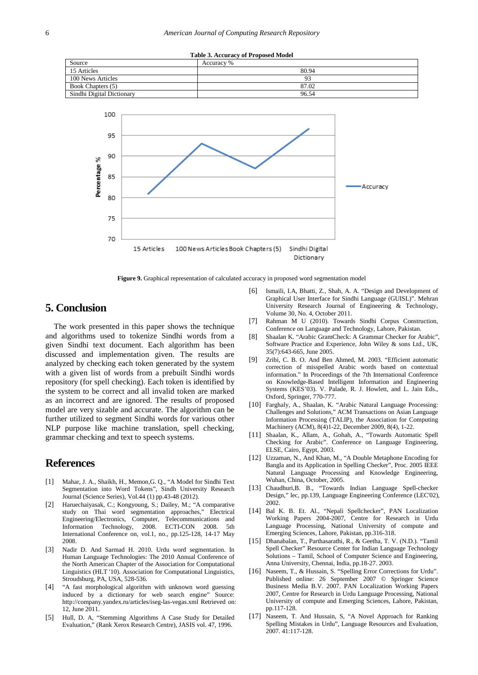<span id="page-5-12"></span>



**Figure 9.** Graphical representation of calculated accuracy in proposed word segmentation model

## **5. Conclusion**

The work presented in this paper shows the technique and algorithms used to tokenize Sindhi words from a given Sindhi text document. Each algorithm has been discussed and implementation given. The results are analyzed by checking each token generated by the system with a given list of words from a prebuilt Sindhi words repository (for spell checking). Each token is identified by the system to be correct and all invalid token are marked as an incorrect and are ignored. The results of proposed model are very sizable and accurate. The algorithm can be further utilized to segment Sindhi words for various other NLP purpose like machine translation, spell checking, grammar checking and text to speech systems.

## **References**

- <span id="page-5-0"></span>[1] Mahar, J. A., Shaikh, H., Memon,G. Q., "A Model for Sindhi Text Segmentation into Word Tokens", Sindh University Research Journal (Science Series), Vol.44 (1) pp.43-48 (2012).
- <span id="page-5-1"></span>[2] Haruechaiyasak, C.; Kongyoung, S.; Dailey, M.; "A comparative study on Thai word segmentation approaches," Electrical Engineering/Electronics, Computer, Telecommunications and Information Technology, 2008. ECTI-CON 2008. 5th Information Technology, 2008. ECTI-CON 2008. 5th International Conference on, vol.1, no., pp.125-128, 14-17 May 2008.
- <span id="page-5-2"></span>[3] Nadir D. And Sarmad H. 2010. Urdu word segmentation. In Human Language Technologies: The 2010 Annual Conference of the North American Chapter of the Association for Computational Linguistics (HLT '10). Association for Computational Linguistics, Stroudsburg, PA, USA, 528-536.
- <span id="page-5-3"></span>[4] "A fast morphological algorithm with unknown word guessing induced by a dictionary for web search engine" Source: http://company.yandex.ru/articles/iseg-las-vegas.xml Retrieved on: 12, June 2011.
- [5] Hull, D. A, "Stemming Algorithms A Case Study for Detailed Evaluation," (Rank Xerox Research Centre), JASIS vol. 47, 1996.
- <span id="page-5-4"></span>[6] Ismaili, I.A, Bhatti, Z., Shah, A. A. "Design and Development of Graphical User Interface for Sindhi Language (GUISL)". Mehran University Research Journal of Engineering & Technology, Volume 30, No. 4, October 2011.
- <span id="page-5-5"></span>[7] Rahman M U (2010). Towards Sindhi Corpus Construction, Conference on Language and Technology, Lahore, Pakistan.
- <span id="page-5-6"></span>[8] Shaalan K. "Arabic GramCheck: A Grammar Checker for Arabic", Software Practice and Experience, John Wiley & sons Ltd., UK, 35(7):643-665, June 2005.
- [9] Zribi, C. B. O. And Ben Ahmed, M. 2003. "Efficient automatic correction of misspelled Arabic words based on contextual information." In Proceedings of the 7th International Conference on Knowledge-Based Intelligent Information and Engineering Systems (KES'03). V. Palade, R. J. Howlett, and L. Jain Eds., Oxford, Springer, 770-777.
- [10] Farghaly, A., Shaalan, K. "Arabic Natural Language Processing: Challenges and Solutions," ACM Transactions on Asian Language Information Processing (TALIP), the Association for Computing Machinery (ACM), 8(4)1-22, December 2009, 8(4), 1-22.
- [11] Shaalan, K., Allam, A., Gohah, A., "Towards Automatic Spell Checking for Arabic". Conference on Language Engineering, ELSE, Cairo, Egypt, 2003.
- <span id="page-5-7"></span>[12] Uzzaman, N., And Khan, M., "A Double Metaphone Encoding for Bangla and its Application in Spelling Checker", Proc. 2005 IEEE Natural Language Processing and Knowledge Engineering, Wuhan, China, October, 2005.
- <span id="page-5-8"></span>[13] Chaudhuri, B. B., "Towards Indian Language Spell-checker Design," lec, pp.139, Language Engineering Conference (LEC'02), 2002.
- <span id="page-5-9"></span>[14] Bal K. B. Et. Al., "Nepali Spellchecker", PAN Localization Working Papers 2004-2007, Centre for Research in Urdu Language Processing, National University of compute and Emerging Sciences, Lahore, Pakistan, pp.316-318.
- <span id="page-5-10"></span>[15] Dhanabalan, T., Parthasarathi, R., & Geetha, T. V. (N.D.). "Tamil Spell Checker" Resource Center for Indian Language Technology Solutions – Tamil, School of Computer Science and Engineering, Anna University, Chennai, India, pp.18-27. 2003.
- <span id="page-5-11"></span>[16] Naseem, T., & Hussain, S. "Spelling Error Corrections for Urdu". Published online: 26 September 2007 © Springer Science Business Media B.V. 2007. PAN Localization Working Papers 2007, Centre for Research in Urdu Language Processing, National University of compute and Emerging Sciences, Lahore, Pakistan, pp.117-128.
- [17] Naseem, T. And Hussain, S, "A Novel Approach for Ranking Spelling Mistakes in Urdu", Language Resources and Evaluation, 2007. 41:117-128.